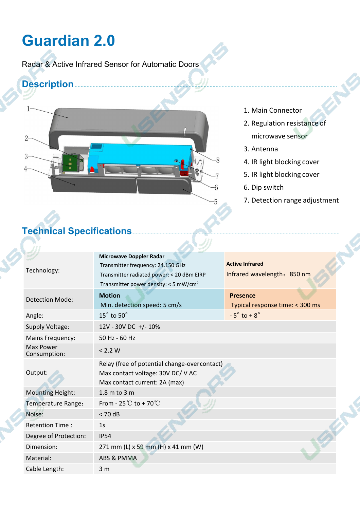# **Guardian 2.0**

Radar & Active Infrared Sensor for Automatic Doors

### **Description**



- 1. Main Connector
- 2. Regulation resistance of

microwave sensor

- 3. Antenna
- 4. IR light blocking cover
- 5. IR light blocking cover
- 6. Dip switch
- 7. Detection range adjustment

## **Technical Specifications**

| Technology:                      | <b>Microwave Doppler Radar</b><br>Transmitter frequency: 24.150 GHz<br>Transmitter radiated power: < 20 dBm EIRP<br>Transmitter power density: $<$ 5 mW/cm <sup>2</sup> | <b>Active Infrared</b><br>Infrared wavelength: 850 nm |  |
|----------------------------------|-------------------------------------------------------------------------------------------------------------------------------------------------------------------------|-------------------------------------------------------|--|
| <b>Detection Mode:</b>           | <b>Motion</b><br>Min. detection speed: 5 cm/s                                                                                                                           | <b>Presence</b><br>Typical response time: < 300 ms    |  |
| Angle:                           | $15^\circ$ to $50^\circ$                                                                                                                                                | $-5^\circ$ to $+8^\circ$                              |  |
| <b>Supply Voltage:</b>           | 12V - 30V DC +/- 10%                                                                                                                                                    |                                                       |  |
| <b>Mains Frequency:</b>          | 50 Hz - 60 Hz                                                                                                                                                           |                                                       |  |
| <b>Max Power</b><br>Consumption: | < 2.2 W                                                                                                                                                                 |                                                       |  |
| Output:                          | Relay (free of potential change-overcontact)<br>Max contact voltage: 30V DC/ V AC<br>Max contact current: 2A (max)                                                      |                                                       |  |
| <b>Mounting Height:</b>          | $1.8$ m to $3$ m                                                                                                                                                        |                                                       |  |
| Temperature Range:               | From - $25^{\circ}$ C to + 70 $^{\circ}$ C                                                                                                                              |                                                       |  |
| Noise:                           | $< 70$ dB                                                                                                                                                               |                                                       |  |
| <b>Retention Time:</b>           | 1 <sub>S</sub>                                                                                                                                                          |                                                       |  |
| Degree of Protection:            | <b>IP54</b>                                                                                                                                                             |                                                       |  |
| Dimension:                       | 271 mm (L) x 59 mm (H) x 41 mm (W)                                                                                                                                      |                                                       |  |
| Material:                        | ABS & PMMA                                                                                                                                                              |                                                       |  |
| Cable Length:                    | 3 <sub>m</sub>                                                                                                                                                          |                                                       |  |

P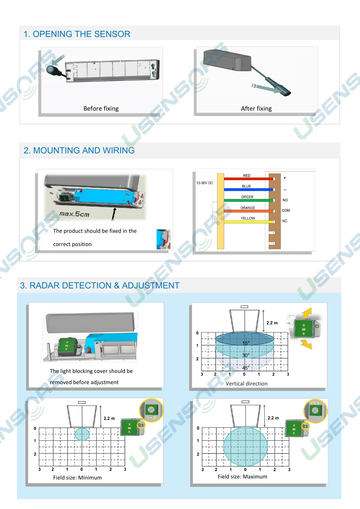#### 2. MOUNTING AND WIRING



## 3. RADAR DETECTION & ADJUSTMENT





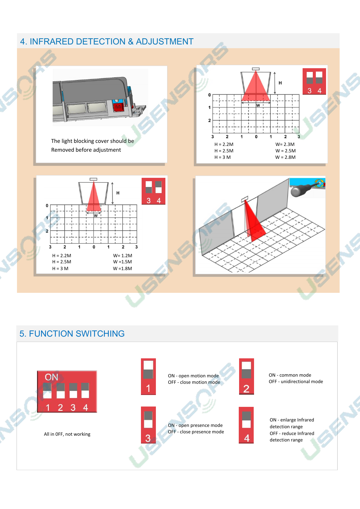

#### 5. FUNCTION SWITCHING





#### All in 0FF, not working





ON - enlarge Infrared detection range OFF - reduce Infrared detection range

ON - open motion mode OFF - close motion mode

ON - common mode OFF - unidirectional mode